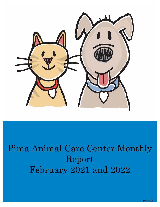

# Pima Animal Care Center Monthly Report February 2021 and 2022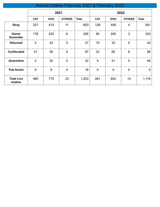# Animal Intakes February 2021 & February 2022

|                                     | 2021           |            |                |              |                |             |                |                |
|-------------------------------------|----------------|------------|----------------|--------------|----------------|-------------|----------------|----------------|
|                                     | <b>CAT</b>     | <b>DOG</b> | <b>OTHERS</b>  | <b>Total</b> | <b>CAT</b>     | <b>DOG</b>  | <b>OTHERS</b>  | <b>Total</b>   |
| <b>Stray</b>                        | 227            | 415        | 11             | 653          | 128            | 459         | $\overline{4}$ | 591            |
| Owner<br><b>Surrender</b>           | 178            | 242        | 6              | 426          | 95             | 245         | 3              | 343            |
| <b>Returned</b>                     | 3              | 24         | $\mathbf 0$    | 27           | 10             | 32          | $\mathbf 0$    | 42             |
| <b>Confiscated</b>                  | 41             | 50         | 6              | 97           | 23             | 65          | 8              | 96             |
| Quarantine                          | $\overline{2}$ | 30         | $\overline{0}$ | 32           | 5              | 41          | $\overline{0}$ | 46             |
| <b>Pub Assist</b>                   | 9              | 9          | $\mathbf 0$    | 18           | $\overline{0}$ | $\mathbf 0$ | $\mathbf 0$    | $\overline{0}$ |
| <b>Total Live</b><br><b>Intakes</b> | 460            | 770        | 23             | 1,253        | 261            | 842         | 15             | 1,118          |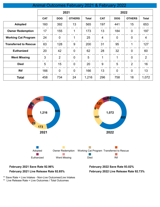|                              |            |                |                |              | -----          |                |                |                |
|------------------------------|------------|----------------|----------------|--------------|----------------|----------------|----------------|----------------|
|                              | 2021       |                |                |              | 2022           |                |                |                |
|                              | <b>CAT</b> | <b>DOG</b>     | <b>OTHERS</b>  | <b>Total</b> | <b>CAT</b>     | <b>DOG</b>     | <b>OTHERS</b>  | <b>Total</b>   |
| <b>Adopted</b>               | 160        | 392            | 13             | 565          | 197            | 441            | 15             | 653            |
| <b>Owner Redemption</b>      | 17         | 155            | $\mathbf 1$    | 173          | 13             | 184            | $\mathbf 0$    | 197            |
| <b>Working Cat Program</b>   | 24         | $\mathbf 0$    | 1              | 25           | $\overline{4}$ | $\mathbf 0$    | $\mathbf 0$    | 4              |
| <b>Transferred to Rescue</b> | 63         | 128            | 9              | 200          | 31             | 95             | 1              | 127            |
| <b>Euthanized</b>            | 20         | 42             | $\overline{0}$ | 62           | 28             | 32             | $\mathbf 0$    | 60             |
| <b>Went Missing</b>          | 3          | $\overline{2}$ | $\overline{0}$ | 5            | 1              | 1              | $\mathbf 0$    | $\overline{2}$ |
| <b>Died</b>                  | 5          | 15             | $\overline{0}$ | 20           | 9              | 5              | $\overline{2}$ | 16             |
| <b>Rtf</b>                   | 166        | $\overline{0}$ | $\mathbf 0$    | 166          | 13             | $\overline{0}$ | $\mathbf 0$    | 13             |
| <b>Total</b>                 | 458        | 734            | 24             | 1,216        | 296            | 758            | 18             | 1,072          |





\*\* Save Rate = Live Intakes - Non-Live Outcomes/Live Intakes \*\* Live Release Rate = Live Outcomes / Total Outcomes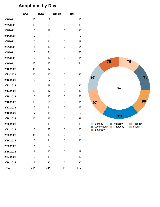# **Adoptions by Day**

|              | <b>CAT</b>     | <b>DOG</b>     | <b>Others</b> | <b>Total</b> |
|--------------|----------------|----------------|---------------|--------------|
| 2/1/2022     | 10             | 7              | 1             | 18           |
| 2/2/2022     | 13             | 23             | 3             | 39           |
| 2/3/2022     | 5              | 18             | 3             | 26           |
| 2/4/2022     | $\overline{7}$ | 20             | 0             | 27           |
| 2/5/2022     | 5              | 14             | 0             | 19           |
| 2/6/2022     | 5              | 19             | 0             | 24           |
| 2/7/2022     | 8              | 24             | 1             | 33           |
| 2/8/2022     | $\overline{2}$ | 12             | 0             | 14           |
| 2/9/2022     | 13             | 10             | 1             | 24           |
| 2/10/2022    | 11             | 17             | 0             | 28           |
| 2/11/2022    | 10             | 12             | 0             | 22           |
| 2/12/2022    | $\overline{2}$ | $\overline{7}$ | 0             | 9            |
| 2/13/2022    | 4              | 18             | 0             | 22           |
| 2/14/2022    | 13             | 17             | 0             | 30           |
| 2/15/2022    | 6              | 16             | 0             | 22           |
| 2/16/2022    | 13             | 21             | 0             | 34           |
| 2/17/2022    | 3              | 14             | 0             | 17           |
| 2/18/2022    | $\overline{7}$ | 15             | 0             | 22           |
| 2/19/2022    | 12             | 17             | 0             | 29           |
| 2/20/2022    | 8              | 10             | 0             | 18           |
| 2/22/2022    | 8              | 22             | 6             | 36           |
| 2/23/2022    | 11             | 18             | 0             | 29           |
| 2/24/2022    | 5              | 21             | 0             | 26           |
| 2/25/2022    | 4              | 22             | 0             | 26           |
| 2/26/2022    | 7              | 12             | 0             | 19           |
| 2/27/2022    | $\overline{2}$ | 10             | 0             | 12           |
| 2/28/2022    | 7              | 25             | 0             | 32           |
| <b>Total</b> | 201            | 441            | 15            | 657          |

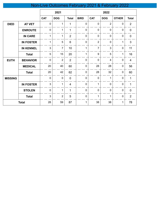## Non-Live Outcomes February 2021 & February 2022

|                |                  |                  | 2021           |                | 2022             |                |                |              |                |
|----------------|------------------|------------------|----------------|----------------|------------------|----------------|----------------|--------------|----------------|
|                |                  | <b>CAT</b>       | <b>DOG</b>     | <b>Total</b>   | <b>BIRD</b>      | <b>CAT</b>     | <b>DOG</b>     | <b>OTHER</b> | <b>Total</b>   |
| <b>DIED</b>    | <b>AT VET</b>    | $\pmb{0}$        | 1              | $\mathbf{1}$   | $\mathbf 0$      | $\mathbf 0$    | $\overline{2}$ | $\mathbf 0$  | $\overline{2}$ |
|                | <b>ENROUTE</b>   | $\boldsymbol{0}$ | 1              | $\mathbf{1}$   | $\mathbf 0$      | $\mathbf 0$    | $\mathbf 0$    | $\mathbf 0$  | $\pmb{0}$      |
|                | <b>IN CARE</b>   | $\mathbf{1}$     | 1              | $\overline{2}$ | $\overline{0}$   | $\mathbf 0$    | $\mathbf 0$    | $\mathbf 0$  | $\pmb{0}$      |
|                | <b>IN FOSTER</b> | 1                | 5              | 6              | $\overline{0}$   | $\overline{2}$ | $\mathbf 0$    | 1            | 3              |
|                | <b>IN KENNEL</b> | $\mathsf 3$      | $\overline{7}$ | 10             | $\mathbf{1}$     | $\overline{7}$ | 3              | $\pmb{0}$    | 11             |
|                | <b>Total</b>     | 5                | 15             | 20             | $\mathbf{1}$     | 9              | 5              | 1            | 16             |
| <b>EUTH</b>    | <b>BEHAVIOR</b>  | $\mathbf 0$      | $\overline{2}$ | $\overline{2}$ | $\mathbf 0$      | $\mathbf 0$    | 4              | $\mathbf 0$  | $\overline{4}$ |
|                | <b>MEDICAL</b>   | 20               | 40             | 60             | $\mathbf 0$      | 28             | 28             | $\pmb{0}$    | 56             |
|                | <b>Total</b>     | 20               | 42             | 62             | $\mathbf 0$      | 28             | 32             | $\mathbf 0$  | 60             |
| <b>MISSING</b> |                  | $\pmb{0}$        | $\mathbf 0$    | $\mathbf 0$    | $\mathbf 0$      | $\mathbf 0$    | 1              | $\mathbf 0$  | $\mathbf{1}$   |
|                | <b>IN FOSTER</b> | $\mathbf{3}$     | 1              | 4              | $\mathbf 0$      | $\mathbf{1}$   | $\mathbf 0$    | $\pmb{0}$    | $\mathbf{1}$   |
|                | <b>STOLEN</b>    | $\pmb{0}$        | 1              | $\mathbf{1}$   | $\mathbf 0$      | $\mathbf 0$    | $\pmb{0}$      | $\pmb{0}$    | $\mathbf 0$    |
|                | <b>Total</b>     | 3                | $\overline{2}$ | 5              | $\boldsymbol{0}$ | $\mathbf{1}$   | 1              | $\pmb{0}$    | $\overline{2}$ |
|                | <b>Total</b>     | 28               | 59             | 87             | $\mathbf 1$      | 38             | 38             | $\mathbf{1}$ | 78             |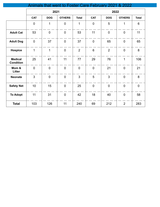|                                    | Animals that went to Foster Care February 2021 & 2022 |                |                |                |                |                |                |              |
|------------------------------------|-------------------------------------------------------|----------------|----------------|----------------|----------------|----------------|----------------|--------------|
|                                    |                                                       | 2021           |                |                | 2022           |                |                |              |
|                                    | <b>CAT</b>                                            | <b>DOG</b>     | <b>OTHERS</b>  | <b>Total</b>   | <b>CAT</b>     | <b>DOG</b>     | <b>OTHERS</b>  | <b>Total</b> |
|                                    | $\Omega$                                              | 1              | $\overline{0}$ | 1              | $\mathbf 0$    | 5              | 1              | 6            |
| <b>Adult Cat</b>                   | 53                                                    | $\overline{0}$ | $\overline{0}$ | 53             | 11             | $\overline{0}$ | $\overline{0}$ | 11           |
| <b>Adult Dog</b>                   | $\mathbf 0$                                           | 37             | $\overline{0}$ | 37             | $\mathbf 0$    | 65             | $\overline{0}$ | 65           |
| <b>Hospice</b>                     | 1                                                     | 1              | $\overline{0}$ | $\overline{2}$ | 6              | $\overline{2}$ | $\overline{0}$ | 8            |
| <b>Medical</b><br><b>Condition</b> | 25                                                    | 41             | 11             | 77             | 29             | 76             | $\mathbf{1}$   | 106          |
| Mom &<br>Litter                    | $\overline{0}$                                        | $\overline{0}$ | $\overline{0}$ | $\overline{0}$ | $\overline{0}$ | 21             | $\overline{0}$ | 21           |
| <b>Neonate</b>                     | $\overline{3}$                                        | $\overline{0}$ | $\mathbf 0$    | $\overline{3}$ | 5              | 3              | $\mathbf 0$    | 8            |
| <b>Safety Net</b>                  | 10 <sup>°</sup>                                       | 15             | $\mathbf 0$    | 25             | $\mathbf 0$    | $\mathbf 0$    | $\mathbf 0$    | $\mathbf 0$  |
| <b>To Adopt</b>                    | 11                                                    | 31             | $\overline{0}$ | 42             | 18             | 40             | $\overline{0}$ | 58           |
| <b>Total</b>                       | 103                                                   | 126            | 11             | 240            | 69             | 212            | $\overline{2}$ | 283          |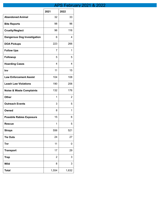## APS February 2021 & 2022

|                                     | 2021           | 2022  |
|-------------------------------------|----------------|-------|
| <b>Abandoned Animal</b>             | 32             | 33    |
| <b>Bite Reports</b>                 | 98             | 96    |
| <b>Cruelty/Neglect</b>              | 96             | 116   |
| <b>Dangerous Dog Investigation</b>  | 6              | 4     |
| <b>DOA Pickups</b>                  | 223            | 266   |
| <b>Follow Ups</b>                   | 7              | 1     |
| <b>Followup</b>                     | 5              | 5     |
| <b>Hoarding Cases</b>               | 4              | 4     |
| Inv                                 | 11             | 15    |
| <b>Law Enforcement Assist</b>       | 104            | 108   |
| <b>Leash Law Violations</b>         | 190            | 206   |
| <b>Noise &amp; Waste Complaints</b> | 132            | 176   |
| <b>Other</b>                        | 1              | 2     |
| <b>Outreach Events</b>              | 3              | 5     |
| Owned                               | 8              | 1     |
| <b>Possbile Rabies Exposure</b>     | 15             | 6     |
| <b>Rescue</b>                       | 1              | 5     |
| <b>Strays</b>                       | 556            | 521   |
| <b>Tie Outs</b>                     | 24             | 27    |
| Tnr                                 | 11             | 0     |
| <b>Transport</b>                    | 17             | 29    |
| <b>Trap</b>                         | $\overline{2}$ | 3     |
| <b>Wild</b>                         | 8              | 3     |
| <b>Total</b>                        | 1,554          | 1,632 |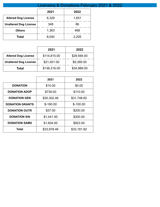|                              | Licensing & Donations February 2021 & 2022 |       |  |  |  |  |
|------------------------------|--------------------------------------------|-------|--|--|--|--|
|                              | 2021                                       | 2022  |  |  |  |  |
| <b>Altered Dog License</b>   | 6,329                                      | 1,651 |  |  |  |  |
| <b>Unaltered Dog License</b> | 348                                        | 86    |  |  |  |  |
| <b>Others</b>                | 1,363                                      | 468   |  |  |  |  |
| Total                        | 8,040                                      | 2,205 |  |  |  |  |

|                              | 2021         | 2022        |
|------------------------------|--------------|-------------|
| <b>Altered Dog License</b>   | \$114,815.00 | \$29,594.00 |
| <b>Unaltered Dog License</b> | \$21,401.00  | \$5,395.00  |
| Total                        | \$136,216.00 | \$34,989.00 |

|                        | 2021        | 2022        |
|------------------------|-------------|-------------|
| <b>DONATION</b>        | \$15.00     | \$0.00      |
| <b>DONATION ADOP</b>   | \$739.00    | \$110.00    |
| <b>DONATION GEN</b>    | \$30,302.46 | \$31,748.82 |
| <b>DONATION GRANTS</b> | $$-160.00$  | $$-100.00$  |
| <b>DONATION OUTR</b>   | \$37.00     | \$200.00    |
| <b>DONATION S/N</b>    | \$1,441.00  | \$300.00    |
| <b>DONATION SAMS</b>   | \$1,604.00  | \$923.00    |
| Total                  | \$33,978.46 | \$33,181.82 |